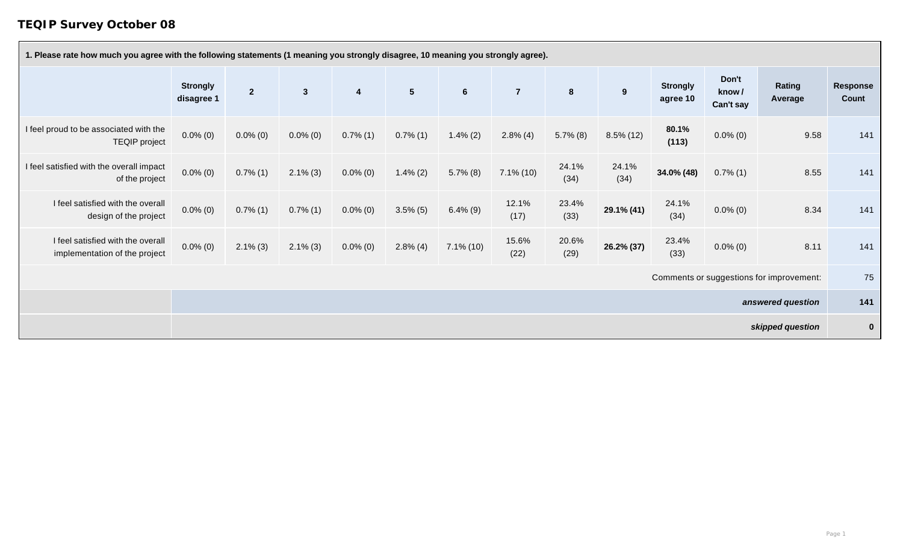## **TEQIP Survey October 08**

| 1. Please rate how much you agree with the following statements (1 meaning you strongly disagree, 10 meaning you strongly agree). |                               |                |                |                         |                |                |                |               |               |                             |                             |                                          |                          |
|-----------------------------------------------------------------------------------------------------------------------------------|-------------------------------|----------------|----------------|-------------------------|----------------|----------------|----------------|---------------|---------------|-----------------------------|-----------------------------|------------------------------------------|--------------------------|
|                                                                                                                                   | <b>Strongly</b><br>disagree 1 | $\overline{2}$ | 3 <sup>1</sup> | $\overline{\mathbf{4}}$ | 5 <sub>5</sub> | $6\phantom{1}$ | $\overline{7}$ | 8             | 9             | <b>Strongly</b><br>agree 10 | Don't<br>know/<br>Can't say | <b>Rating</b><br>Average                 | <b>Response</b><br>Count |
| I feel proud to be associated with the<br><b>TEQIP</b> project                                                                    | $0.0\%$ (0)                   | $0.0\%$ (0)    | $0.0\%$ (0)    | $0.7\%$ (1)             | $0.7\%$ (1)    | $1.4\%$ (2)    | $2.8\%$ (4)    | $5.7\%$ (8)   | $8.5\%$ (12)  | 80.1%<br>(113)              | $0.0\%$ (0)                 | 9.58                                     | 141                      |
| I feel satisfied with the overall impact<br>of the project                                                                        | $0.0\%$ (0)                   | $0.7\%$ (1)    | $2.1\%$ (3)    | $0.0\%$ (0)             | $1.4\% (2)$    | $5.7\%$ (8)    | $7.1\%$ (10)   | 24.1%<br>(34) | 24.1%<br>(34) | 34.0% (48)                  | $0.7\%$ (1)                 | 8.55                                     | 141                      |
| I feel satisfied with the overall<br>design of the project                                                                        | $0.0\%$ (0)                   | $0.7\%$ (1)    | $0.7\%$ (1)    | $0.0\%$ (0)             | $3.5\%$ (5)    | $6.4\%$ (9)    | 12.1%<br>(17)  | 23.4%<br>(33) | 29.1% (41)    | 24.1%<br>(34)               | $0.0\%$ (0)                 | 8.34                                     | 141                      |
| I feel satisfied with the overall<br>implementation of the project                                                                | $0.0\%$ (0)                   | $2.1\%$ (3)    | $2.1\%$ (3)    | $0.0\%$ (0)             | $2.8\%$ (4)    | $7.1\%$ (10)   | 15.6%<br>(22)  | 20.6%<br>(29) | 26.2% (37)    | 23.4%<br>(33)               | $0.0\%$ (0)                 | 8.11                                     | 141                      |
|                                                                                                                                   |                               |                |                |                         |                |                |                |               |               |                             |                             | Comments or suggestions for improvement: | 75                       |
|                                                                                                                                   |                               |                |                |                         |                |                |                |               |               |                             |                             | answered question                        | 141                      |
|                                                                                                                                   |                               |                |                |                         |                |                |                |               |               |                             |                             | skipped question                         | $\mathbf 0$              |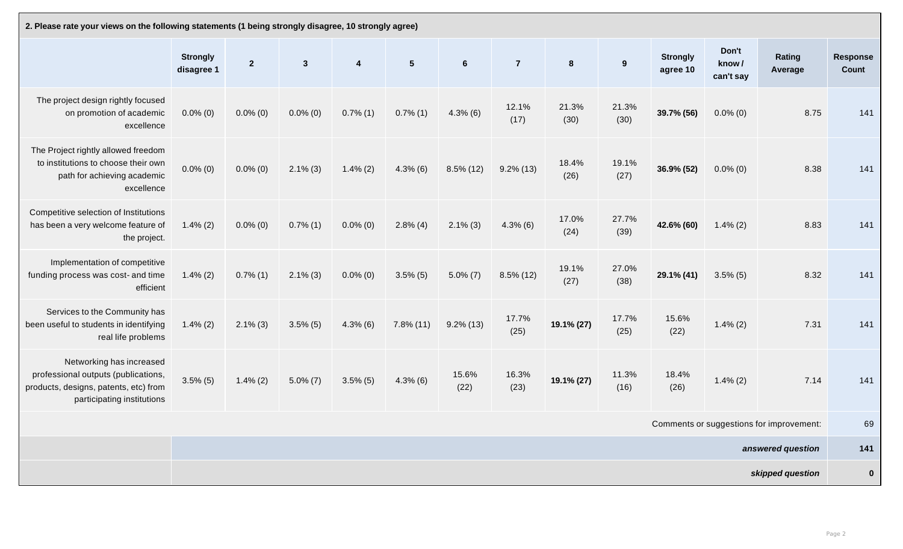| 2. Please rate your views on the following statements (1 being strongly disagree, 10 strongly agree)                                   |                               |              |              |                         |                |                |                |               |               |                             |                             |                                          |                                 |
|----------------------------------------------------------------------------------------------------------------------------------------|-------------------------------|--------------|--------------|-------------------------|----------------|----------------|----------------|---------------|---------------|-----------------------------|-----------------------------|------------------------------------------|---------------------------------|
|                                                                                                                                        | <b>Strongly</b><br>disagree 1 | $\mathbf{2}$ | $\mathbf{3}$ | $\overline{\mathbf{4}}$ | 5 <sub>5</sub> | $6\phantom{1}$ | $\overline{7}$ | 8             | 9             | <b>Strongly</b><br>agree 10 | Don't<br>know/<br>can't say | <b>Rating</b><br>Average                 | <b>Response</b><br><b>Count</b> |
| The project design rightly focused<br>on promotion of academic<br>excellence                                                           | $0.0\%$ (0)                   | $0.0\%$ (0)  | $0.0\%$ (0)  | $0.7\%$ (1)             | $0.7\%$ (1)    | $4.3\%$ (6)    | 12.1%<br>(17)  | 21.3%<br>(30) | 21.3%<br>(30) | 39.7% (56)                  | $0.0\%$ (0)                 | 8.75                                     | 141                             |
| The Project rightly allowed freedom<br>to institutions to choose their own<br>path for achieving academic<br>excellence                | $0.0\%$ (0)                   | $0.0\%$ (0)  | $2.1\%$ (3)  | $1.4\% (2)$             | $4.3\%$ (6)    | $8.5\%$ (12)   | $9.2\%$ (13)   | 18.4%<br>(26) | 19.1%<br>(27) | 36.9% (52)                  | $0.0\%$ (0)                 | 8.38                                     | 141                             |
| Competitive selection of Institutions<br>has been a very welcome feature of<br>the project.                                            | $1.4\%$ (2)                   | $0.0\%$ (0)  | $0.7\%$ (1)  | $0.0\%$ (0)             | $2.8\%$ (4)    | $2.1\%$ (3)    | $4.3\%$ (6)    | 17.0%<br>(24) | 27.7%<br>(39) | 42.6% (60)                  | $1.4\%$ (2)                 | 8.83                                     | 141                             |
| Implementation of competitive<br>funding process was cost- and time<br>efficient                                                       | $1.4\%$ (2)                   | $0.7\%$ (1)  | $2.1\%$ (3)  | $0.0\%$ (0)             | $3.5\%$ (5)    | $5.0\% (7)$    | $8.5\%$ (12)   | 19.1%<br>(27) | 27.0%<br>(38) | 29.1% (41)                  | $3.5\%$ (5)                 | 8.32                                     | 141                             |
| Services to the Community has<br>been useful to students in identifying<br>real life problems                                          | $1.4\%$ (2)                   | $2.1\%$ (3)  | $3.5\%$ (5)  | $4.3\%$ (6)             | $7.8\%$ (11)   | $9.2\%$ (13)   | 17.7%<br>(25)  | 19.1% (27)    | 17.7%<br>(25) | 15.6%<br>(22)               | $1.4\%$ (2)                 | 7.31                                     | 141                             |
| Networking has increased<br>professional outputs (publications,<br>products, designs, patents, etc) from<br>participating institutions | $3.5\%$ (5)                   | $1.4\% (2)$  | $5.0\% (7)$  | $3.5\%$ (5)             | $4.3\%$ (6)    | 15.6%<br>(22)  | 16.3%<br>(23)  | 19.1% (27)    | 11.3%<br>(16) | 18.4%<br>(26)               | $1.4\% (2)$                 | 7.14                                     | 141                             |
|                                                                                                                                        |                               |              |              |                         |                |                |                |               |               |                             |                             | Comments or suggestions for improvement: | 69                              |
|                                                                                                                                        |                               |              |              |                         |                |                |                |               |               |                             |                             | answered question                        | 141                             |
|                                                                                                                                        |                               |              |              |                         |                |                |                |               |               |                             |                             | skipped question                         | $\mathbf 0$                     |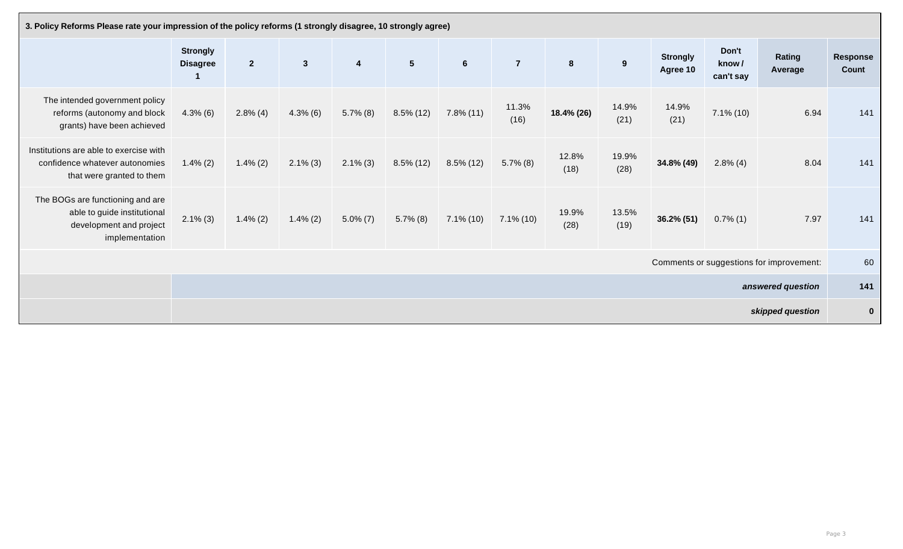| 3. Policy Reforms Please rate your impression of the policy reforms (1 strongly disagree, 10 strongly agree) |                                    |                 |                |                         |                |                 |                |               |               |                             |                             |                                          |                          |
|--------------------------------------------------------------------------------------------------------------|------------------------------------|-----------------|----------------|-------------------------|----------------|-----------------|----------------|---------------|---------------|-----------------------------|-----------------------------|------------------------------------------|--------------------------|
|                                                                                                              | <b>Strongly</b><br><b>Disagree</b> | $2\overline{ }$ | 3 <sup>2</sup> | $\overline{\mathbf{4}}$ | 5 <sup>5</sup> | $6\phantom{.}6$ | $\overline{7}$ | 8             | 9             | <b>Strongly</b><br>Agree 10 | Don't<br>know/<br>can't say | <b>Rating</b><br>Average                 | <b>Response</b><br>Count |
| The intended government policy<br>reforms (autonomy and block<br>grants) have been achieved                  | $4.3\%$ (6)                        | $2.8\%$ (4)     | $4.3\%$ (6)    | $5.7\%$ (8)             | $8.5\%$ (12)   | $7.8\%$ (11)    | 11.3%<br>(16)  | 18.4% (26)    | 14.9%<br>(21) | 14.9%<br>(21)               | $7.1\%$ (10)                | 6.94                                     | 141                      |
| Institutions are able to exercise with<br>confidence whatever autonomies<br>that were granted to them        | $1.4\%$ (2)                        | $1.4\%$ (2)     | $2.1\%$ (3)    | $2.1\%$ (3)             | $8.5\%$ (12)   | $8.5\%$ (12)    | $5.7\%$ (8)    | 12.8%<br>(18) | 19.9%<br>(28) | 34.8% (49)                  | $2.8\%$ (4)                 | 8.04                                     | 141                      |
| The BOGs are functioning and are<br>able to guide institutional<br>development and project<br>implementation | $2.1\%$ (3)                        | $1.4\%$ (2)     | $1.4\%$ (2)    | $5.0\% (7)$             | $5.7\%$ (8)    | $7.1\%$ (10)    | $7.1\%$ (10)   | 19.9%<br>(28) | 13.5%<br>(19) | 36.2% (51)                  | $0.7\%$ (1)                 | 7.97                                     | 141                      |
|                                                                                                              |                                    |                 |                |                         |                |                 |                |               |               |                             |                             | Comments or suggestions for improvement: | 60                       |
|                                                                                                              |                                    |                 |                |                         |                |                 |                |               |               |                             |                             | answered question                        | 141                      |
|                                                                                                              |                                    |                 |                |                         |                |                 |                |               |               |                             |                             | skipped question                         | $\mathbf{0}$             |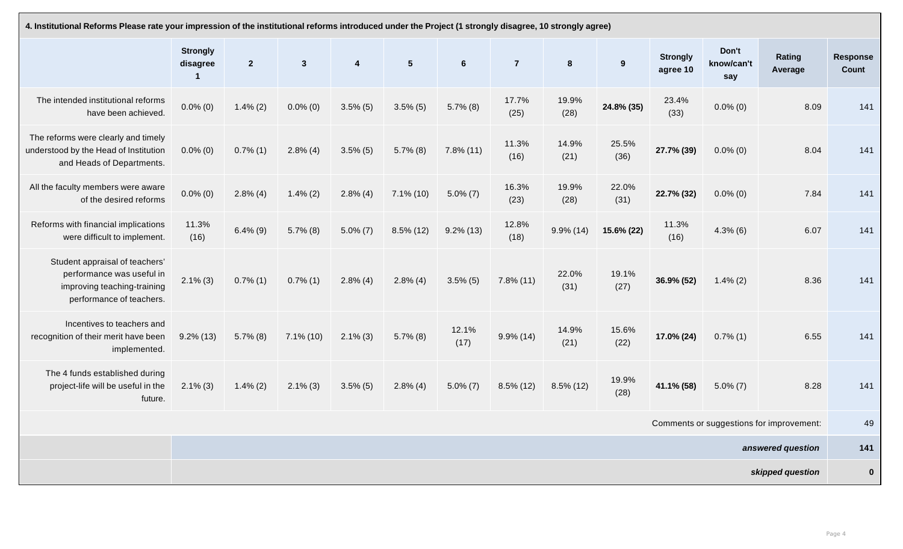| 4. Institutional Reforms Please rate your impression of the institutional reforms introduced under the Project (1 strongly disagree, 10 strongly agree) |                             |                |              |                         |                |                |                |                |               |                             |                            |                                          |                                 |
|---------------------------------------------------------------------------------------------------------------------------------------------------------|-----------------------------|----------------|--------------|-------------------------|----------------|----------------|----------------|----------------|---------------|-----------------------------|----------------------------|------------------------------------------|---------------------------------|
|                                                                                                                                                         | <b>Strongly</b><br>disagree | $\overline{2}$ | $\mathbf{3}$ | $\overline{\mathbf{4}}$ | 5 <sup>5</sup> | $6\phantom{1}$ | $\overline{7}$ | $8\phantom{1}$ | 9             | <b>Strongly</b><br>agree 10 | Don't<br>know/can't<br>say | <b>Rating</b><br>Average                 | <b>Response</b><br><b>Count</b> |
| The intended institutional reforms<br>have been achieved.                                                                                               | $0.0\%$ (0)                 | $1.4\% (2)$    | $0.0\%$ (0)  | $3.5\%$ (5)             | $3.5\%$ (5)    | $5.7\%$ (8)    | 17.7%<br>(25)  | 19.9%<br>(28)  | 24.8% (35)    | 23.4%<br>(33)               | $0.0\%$ (0)                | 8.09                                     | 141                             |
| The reforms were clearly and timely<br>understood by the Head of Institution<br>and Heads of Departments.                                               | $0.0\%$ (0)                 | $0.7\%$ (1)    | $2.8\%$ (4)  | $3.5\%$ (5)             | $5.7\%$ (8)    | $7.8\%$ (11)   | 11.3%<br>(16)  | 14.9%<br>(21)  | 25.5%<br>(36) | 27.7% (39)                  | $0.0\%$ (0)                | 8.04                                     | 141                             |
| All the faculty members were aware<br>of the desired reforms                                                                                            | $0.0\%$ (0)                 | $2.8\%$ (4)    | $1.4\%$ (2)  | $2.8\%$ (4)             | $7.1\%$ (10)   | $5.0\% (7)$    | 16.3%<br>(23)  | 19.9%<br>(28)  | 22.0%<br>(31) | 22.7% (32)                  | $0.0\%$ (0)                | 7.84                                     | 141                             |
| Reforms with financial implications<br>were difficult to implement.                                                                                     | 11.3%<br>(16)               | $6.4\%$ (9)    | $5.7\%$ (8)  | $5.0\% (7)$             | $8.5\%$ (12)   | $9.2\%$ (13)   | 12.8%<br>(18)  | $9.9\%$ (14)   | 15.6% (22)    | 11.3%<br>(16)               | $4.3\%$ (6)                | 6.07                                     | 141                             |
| Student appraisal of teachers'<br>performance was useful in<br>improving teaching-training<br>performance of teachers.                                  | $2.1\%$ (3)                 | $0.7\%$ (1)    | $0.7\%$ (1)  | $2.8\%$ (4)             | $2.8\%$ (4)    | $3.5\%$ (5)    | $7.8\%$ (11)   | 22.0%<br>(31)  | 19.1%<br>(27) | 36.9% (52)                  | $1.4\% (2)$                | 8.36                                     | 141                             |
| Incentives to teachers and<br>recognition of their merit have been<br>implemented.                                                                      | $9.2\%$ (13)                | $5.7\%$ (8)    | 7.1% (10)    | $2.1\%$ (3)             | $5.7\%$ (8)    | 12.1%<br>(17)  | $9.9\%$ (14)   | 14.9%<br>(21)  | 15.6%<br>(22) | 17.0% (24)                  | $0.7\%$ (1)                | 6.55                                     | 141                             |
| The 4 funds established during<br>project-life will be useful in the<br>future.                                                                         | $2.1\%$ (3)                 | $1.4\% (2)$    | $2.1\%$ (3)  | $3.5\%$ (5)             | $2.8\%$ (4)    | $5.0\% (7)$    | $8.5\%$ (12)   | $8.5\%$ (12)   | 19.9%<br>(28) | 41.1% (58)                  | $5.0\% (7)$                | 8.28                                     | 141                             |
|                                                                                                                                                         |                             |                |              |                         |                |                |                |                |               |                             |                            | Comments or suggestions for improvement: | 49                              |
|                                                                                                                                                         |                             |                |              |                         |                |                |                |                |               |                             |                            | answered question                        | 141                             |
|                                                                                                                                                         |                             |                |              |                         |                |                |                |                |               |                             |                            | skipped question                         | $\mathbf{0}$                    |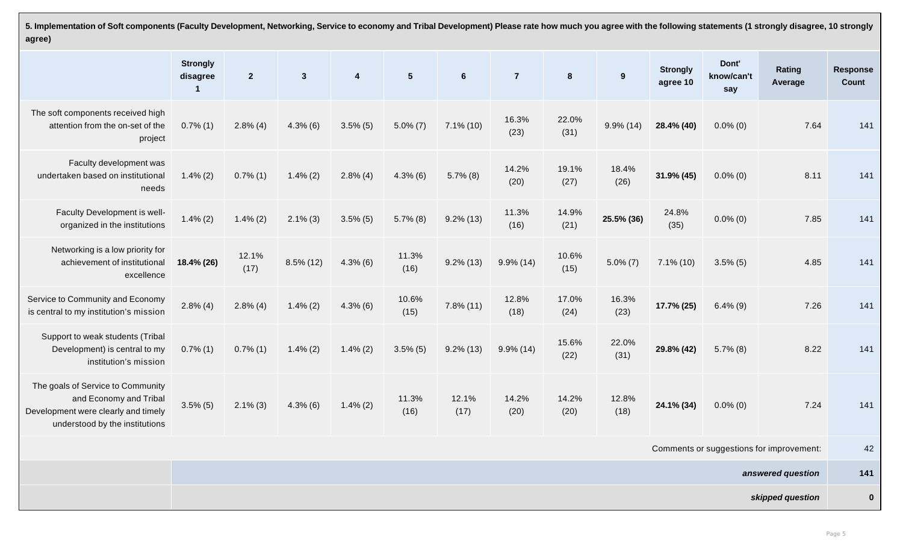**5. Implementation of Soft components (Faculty Development, Networking, Service to economy and Tribal Development) Please rate how much you agree with the following statements (1 strongly disagree, 10 strongly agree)**

|                                                                                                                                      | <b>Strongly</b><br>disagree | 2 <sup>2</sup> | $\mathbf{3}$ | $\overline{\mathbf{4}}$ | 5 <sup>5</sup> | $6\phantom{1}6$ | $\overline{7}$ | $8\phantom{1}$ | 9             | <b>Strongly</b><br>agree 10 | Dont'<br>know/can't<br>say | Rating<br>Average                        | <b>Response</b><br><b>Count</b> |
|--------------------------------------------------------------------------------------------------------------------------------------|-----------------------------|----------------|--------------|-------------------------|----------------|-----------------|----------------|----------------|---------------|-----------------------------|----------------------------|------------------------------------------|---------------------------------|
| The soft components received high<br>attention from the on-set of the<br>project                                                     | $0.7\%$ (1)                 | $2.8\%$ (4)    | $4.3\%$ (6)  | $3.5\%$ (5)             | $5.0\% (7)$    | $7.1\%$ (10)    | 16.3%<br>(23)  | 22.0%<br>(31)  | $9.9\% (14)$  | 28.4% (40)                  | $0.0\%$ (0)                | 7.64                                     | 141                             |
| Faculty development was<br>undertaken based on institutional<br>needs                                                                | $1.4\%$ (2)                 | $0.7\%$ (1)    | $1.4\%$ (2)  | $2.8\%$ (4)             | $4.3\%$ (6)    | $5.7\%$ (8)     | 14.2%<br>(20)  | 19.1%<br>(27)  | 18.4%<br>(26) | $31.9\%$ (45)               | $0.0\%$ (0)                | 8.11                                     | 141                             |
| Faculty Development is well-<br>organized in the institutions                                                                        | $1.4\% (2)$                 | $1.4\% (2)$    | $2.1\%$ (3)  | $3.5\%$ (5)             | $5.7\%$ (8)    | $9.2\%$ (13)    | 11.3%<br>(16)  | 14.9%<br>(21)  | 25.5% (36)    | 24.8%<br>(35)               | $0.0\%$ (0)                | 7.85                                     | 141                             |
| Networking is a low priority for<br>achievement of institutional<br>excellence                                                       | 18.4% (26)                  | 12.1%<br>(17)  | $8.5\%$ (12) | $4.3\%$ (6)             | 11.3%<br>(16)  | $9.2\%$ (13)    | $9.9\%$ (14)   | 10.6%<br>(15)  | $5.0\% (7)$   | $7.1\%$ (10)                | $3.5\%$ (5)                | 4.85                                     | 141                             |
| Service to Community and Economy<br>is central to my institution's mission                                                           | $2.8\%$ (4)                 | $2.8\%$ (4)    | $1.4\%$ (2)  | $4.3\%$ (6)             | 10.6%<br>(15)  | $7.8\%$ (11)    | 12.8%<br>(18)  | 17.0%<br>(24)  | 16.3%<br>(23) | 17.7% (25)                  | $6.4\%$ (9)                | 7.26                                     | 141                             |
| Support to weak students (Tribal<br>Development) is central to my<br>institution's mission                                           | $0.7\%$ (1)                 | $0.7\%$ (1)    | $1.4\%$ (2)  | $1.4\% (2)$             | $3.5\%$ (5)    | $9.2\%$ (13)    | $9.9\%$ (14)   | 15.6%<br>(22)  | 22.0%<br>(31) | 29.8% (42)                  | $5.7\%$ (8)                | 8.22                                     | 141                             |
| The goals of Service to Community<br>and Economy and Tribal<br>Development were clearly and timely<br>understood by the institutions | $3.5\%$ (5)                 | $2.1\%$ (3)    | $4.3\%$ (6)  | $1.4\%$ (2)             | 11.3%<br>(16)  | 12.1%<br>(17)   | 14.2%<br>(20)  | 14.2%<br>(20)  | 12.8%<br>(18) | 24.1% (34)                  | $0.0\%$ (0)                | 7.24                                     | 141                             |
|                                                                                                                                      |                             |                |              |                         |                |                 |                |                |               |                             |                            | Comments or suggestions for improvement: | 42                              |
|                                                                                                                                      |                             |                |              |                         |                |                 |                |                |               |                             |                            | answered question                        | 141                             |
|                                                                                                                                      |                             |                |              |                         |                |                 |                |                |               |                             |                            | skipped question                         | $\mathbf{0}$                    |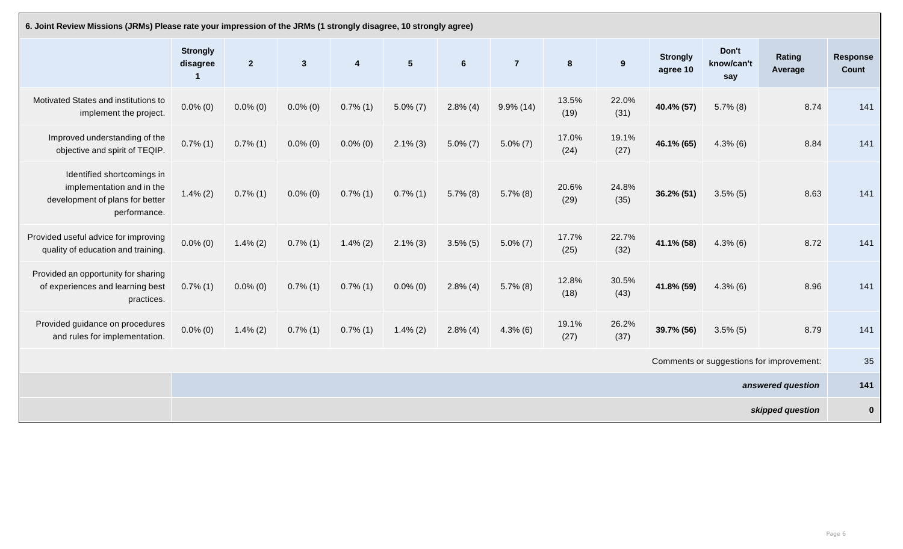| 6. Joint Review Missions (JRMs) Please rate your impression of the JRMs (1 strongly disagree, 10 strongly agree) |                             |              |             |                         |                |                |                |               |               |                             |                            |                                          |                          |
|------------------------------------------------------------------------------------------------------------------|-----------------------------|--------------|-------------|-------------------------|----------------|----------------|----------------|---------------|---------------|-----------------------------|----------------------------|------------------------------------------|--------------------------|
|                                                                                                                  | <b>Strongly</b><br>disagree | $\mathbf{2}$ | 3           | $\overline{\mathbf{4}}$ | 5 <sup>5</sup> | $6\phantom{1}$ | $\overline{7}$ | 8             | 9             | <b>Strongly</b><br>agree 10 | Don't<br>know/can't<br>say | <b>Rating</b><br>Average                 | <b>Response</b><br>Count |
| Motivated States and institutions to<br>implement the project.                                                   | $0.0\%$ (0)                 | $0.0\%$ (0)  | $0.0\%$ (0) | $0.7\%$ (1)             | $5.0\% (7)$    | $2.8\%$ (4)    | $9.9\%$ (14)   | 13.5%<br>(19) | 22.0%<br>(31) | 40.4% (57)                  | $5.7\%$ (8)                | 8.74                                     | 141                      |
| Improved understanding of the<br>objective and spirit of TEQIP.                                                  | $0.7\%$ (1)                 | $0.7\%$ (1)  | $0.0\%$ (0) | $0.0\%$ (0)             | $2.1\%$ (3)    | $5.0\% (7)$    | $5.0\% (7)$    | 17.0%<br>(24) | 19.1%<br>(27) | 46.1% (65)                  | $4.3\%$ (6)                | 8.84                                     | 141                      |
| Identified shortcomings in<br>implementation and in the<br>development of plans for better<br>performance.       | $1.4\% (2)$                 | $0.7\%$ (1)  | $0.0\%$ (0) | $0.7\%$ (1)             | $0.7\%$ (1)    | $5.7\%$ (8)    | $5.7\%$ (8)    | 20.6%<br>(29) | 24.8%<br>(35) | 36.2% (51)                  | $3.5\%$ (5)                | 8.63                                     | 141                      |
| Provided useful advice for improving<br>quality of education and training.                                       | $0.0\%$ (0)                 | $1.4\%$ (2)  | $0.7\%$ (1) | $1.4\%$ (2)             | $2.1\%$ (3)    | $3.5\%$ (5)    | $5.0\%$ (7)    | 17.7%<br>(25) | 22.7%<br>(32) | 41.1% (58)                  | $4.3\%$ (6)                | 8.72                                     | 141                      |
| Provided an opportunity for sharing<br>of experiences and learning best<br>practices.                            | $0.7\%$ (1)                 | $0.0\%$ (0)  | $0.7\%$ (1) | $0.7\%$ (1)             | $0.0\%$ (0)    | $2.8\%$ (4)    | $5.7\%$ (8)    | 12.8%<br>(18) | 30.5%<br>(43) | 41.8% (59)                  | $4.3\%$ (6)                | 8.96                                     | 141                      |
| Provided guidance on procedures<br>and rules for implementation.                                                 | $0.0\%$ (0)                 | $1.4\%$ (2)  | $0.7\%$ (1) | $0.7\%$ (1)             | $1.4\%$ (2)    | $2.8\%$ (4)    | $4.3\%$ (6)    | 19.1%<br>(27) | 26.2%<br>(37) | 39.7% (56)                  | $3.5\%$ (5)                | 8.79                                     | 141                      |
|                                                                                                                  |                             |              |             |                         |                |                |                |               |               |                             |                            | Comments or suggestions for improvement: | 35                       |
|                                                                                                                  |                             |              |             |                         |                |                |                |               |               |                             |                            | answered question                        | 141                      |
|                                                                                                                  |                             |              |             |                         |                |                |                |               |               |                             |                            | skipped question                         | $\mathbf 0$              |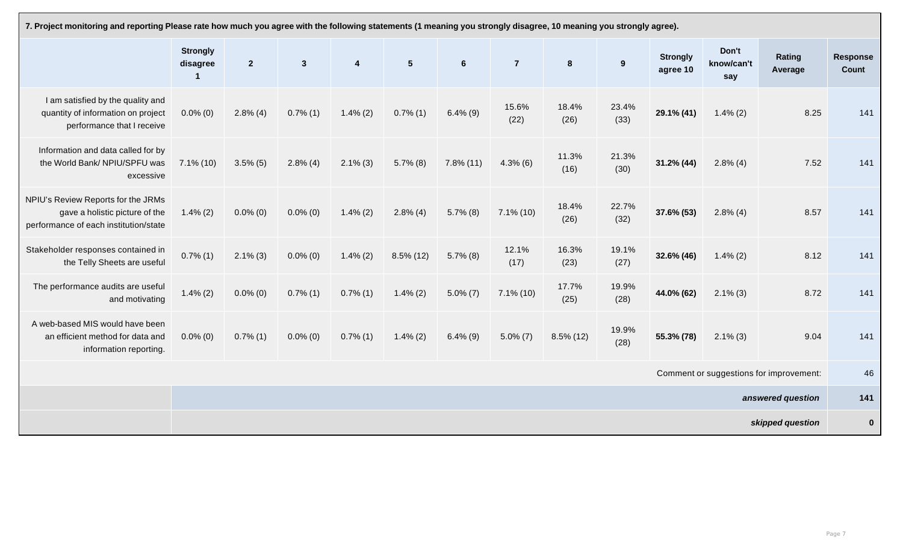| 7. Project monitoring and reporting Please rate how much you agree with the following statements (1 meaning you strongly disagree, 10 meaning you strongly agree). |                             |                  |                |                         |                |                 |                |                |               |                             |                            |                                         |                   |
|--------------------------------------------------------------------------------------------------------------------------------------------------------------------|-----------------------------|------------------|----------------|-------------------------|----------------|-----------------|----------------|----------------|---------------|-----------------------------|----------------------------|-----------------------------------------|-------------------|
|                                                                                                                                                                    | <b>Strongly</b><br>disagree | $\boldsymbol{2}$ | $3\phantom{a}$ | $\overline{\mathbf{4}}$ | 5 <sup>5</sup> | $6\phantom{1}6$ | $\overline{7}$ | 8 <sup>°</sup> | 9             | <b>Strongly</b><br>agree 10 | Don't<br>know/can't<br>say | <b>Rating</b><br>Average                | Response<br>Count |
| I am satisfied by the quality and<br>quantity of information on project<br>performance that I receive                                                              | $0.0\%$ (0)                 | $2.8\%$ (4)      | $0.7\%$ (1)    | $1.4\% (2)$             | $0.7\%$ (1)    | $6.4\%$ (9)     | 15.6%<br>(22)  | 18.4%<br>(26)  | 23.4%<br>(33) | 29.1% (41)                  | $1.4\% (2)$                | 8.25                                    | 141               |
| Information and data called for by<br>the World Bank/NPIU/SPFU was<br>excessive                                                                                    | $7.1\%$ (10)                | $3.5\%$ (5)      | $2.8\%$ (4)    | $2.1\%$ (3)             | $5.7\%$ (8)    | $7.8\%$ (11)    | $4.3\%$ (6)    | 11.3%<br>(16)  | 21.3%<br>(30) | $31.2\% (44)$               | $2.8\%$ (4)                | 7.52                                    | 141               |
| NPIU's Review Reports for the JRMs<br>gave a holistic picture of the<br>performance of each institution/state                                                      | $1.4\% (2)$                 | $0.0\%$ (0)      | $0.0\%$ (0)    | $1.4\%$ (2)             | $2.8\%$ (4)    | $5.7\%$ (8)     | $7.1\%$ (10)   | 18.4%<br>(26)  | 22.7%<br>(32) | 37.6% (53)                  | $2.8\%$ (4)                | 8.57                                    | 141               |
| Stakeholder responses contained in<br>the Telly Sheets are useful                                                                                                  | $0.7\%$ (1)                 | $2.1\%$ (3)      | $0.0\%$ (0)    | $1.4\% (2)$             | $8.5\%$ (12)   | $5.7\%$ (8)     | 12.1%<br>(17)  | 16.3%<br>(23)  | 19.1%<br>(27) | 32.6% (46)                  | $1.4\% (2)$                | 8.12                                    | 141               |
| The performance audits are useful<br>and motivating                                                                                                                | $1.4\%$ (2)                 | $0.0\%$ (0)      | $0.7\%$ (1)    | $0.7\%$ (1)             | $1.4\% (2)$    | $5.0\% (7)$     | $7.1\%$ (10)   | 17.7%<br>(25)  | 19.9%<br>(28) | 44.0% (62)                  | $2.1\%$ (3)                | 8.72                                    | 141               |
| A web-based MIS would have been<br>an efficient method for data and<br>information reporting.                                                                      | $0.0\%$ (0)                 | $0.7\%$ (1)      | $0.0\%$ (0)    | $0.7\%$ (1)             | $1.4\% (2)$    | $6.4\% (9)$     | $5.0\% (7)$    | $8.5\%$ (12)   | 19.9%<br>(28) | 55.3% (78)                  | $2.1\%$ (3)                | 9.04                                    | 141               |
|                                                                                                                                                                    |                             |                  |                |                         |                |                 |                |                |               |                             |                            | Comment or suggestions for improvement: | 46                |
|                                                                                                                                                                    |                             |                  |                |                         |                |                 |                |                |               |                             |                            | answered question                       | 141               |
|                                                                                                                                                                    |                             |                  |                |                         |                |                 |                |                |               |                             |                            | skipped question                        | $\mathbf{0}$      |

| y agree). |  |
|-----------|--|
|           |  |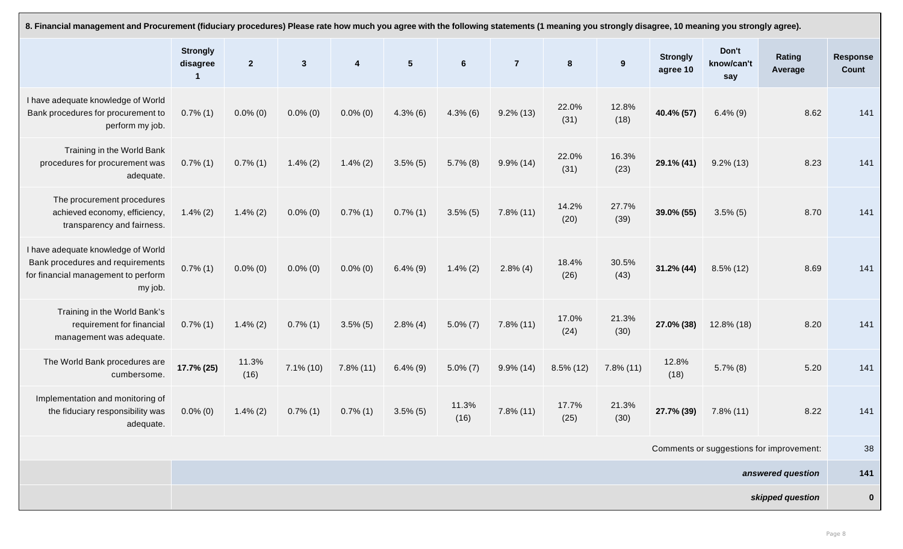| 8. Financial management and Procurement (fiduciary procedures) Please rate how much you agree with the following statements (1 meaning you strongly disagree, 10 meaning you strongly agree). |                             |                |              |                         |                |                |                |                |               |                             |                            |                                          |                          |
|-----------------------------------------------------------------------------------------------------------------------------------------------------------------------------------------------|-----------------------------|----------------|--------------|-------------------------|----------------|----------------|----------------|----------------|---------------|-----------------------------|----------------------------|------------------------------------------|--------------------------|
|                                                                                                                                                                                               | <b>Strongly</b><br>disagree | 2 <sup>2</sup> | $\mathbf{3}$ | $\overline{\mathbf{4}}$ | 5 <sup>5</sup> | $6\phantom{1}$ | $\overline{7}$ | $8\phantom{1}$ | 9             | <b>Strongly</b><br>agree 10 | Don't<br>know/can't<br>say | <b>Rating</b><br>Average                 | <b>Response</b><br>Count |
| I have adequate knowledge of World<br>Bank procedures for procurement to<br>perform my job.                                                                                                   | $0.7\%$ (1)                 | $0.0\%$ (0)    | $0.0\%$ (0)  | $0.0\%$ (0)             | $4.3\%$ (6)    | $4.3\%$ (6)    | $9.2\%$ (13)   | 22.0%<br>(31)  | 12.8%<br>(18) | 40.4% (57)                  | $6.4\%$ (9)                | 8.62                                     | 141                      |
| Training in the World Bank<br>procedures for procurement was<br>adequate.                                                                                                                     | $0.7\%$ (1)                 | $0.7\%$ (1)    | $1.4\% (2)$  | $1.4\%$ (2)             | $3.5\%$ (5)    | $5.7\%$ (8)    | $9.9\%$ (14)   | 22.0%<br>(31)  | 16.3%<br>(23) | 29.1% (41)                  | $9.2\%$ (13)               | 8.23                                     | 141                      |
| The procurement procedures<br>achieved economy, efficiency,<br>transparency and fairness.                                                                                                     | $1.4\% (2)$                 | $1.4\% (2)$    | $0.0\%$ (0)  | $0.7\%$ (1)             | $0.7\%$ (1)    | $3.5\%$ (5)    | $7.8\%$ (11)   | 14.2%<br>(20)  | 27.7%<br>(39) | 39.0% (55)                  | $3.5\%$ (5)                | 8.70                                     | 141                      |
| I have adequate knowledge of World<br>Bank procedures and requirements<br>for financial management to perform<br>my job.                                                                      | $0.7\%$ (1)                 | $0.0\%$ (0)    | $0.0\%$ (0)  | $0.0\%$ (0)             | $6.4\%$ (9)    | $1.4\%$ (2)    | $2.8\%$ (4)    | 18.4%<br>(26)  | 30.5%<br>(43) | $31.2\%$ (44)               | $8.5\%$ (12)               | 8.69                                     | 141                      |
| Training in the World Bank's<br>requirement for financial<br>management was adequate.                                                                                                         | $0.7\%$ (1)                 | $1.4\% (2)$    | $0.7\%$ (1)  | $3.5\%$ (5)             | $2.8\%$ (4)    | $5.0\%$ (7)    | $7.8\%$ (11)   | 17.0%<br>(24)  | 21.3%<br>(30) | 27.0% (38)                  | 12.8% (18)                 | 8.20                                     | 141                      |
| The World Bank procedures are<br>cumbersome.                                                                                                                                                  | 17.7% (25)                  | 11.3%<br>(16)  | $7.1\%$ (10) | $7.8\%$ (11)            | $6.4\%$ (9)    | $5.0\% (7)$    | $9.9\%$ (14)   | $8.5\%$ (12)   | $7.8\%$ (11)  | 12.8%<br>(18)               | $5.7\%$ (8)                | 5.20                                     | 141                      |
| Implementation and monitoring of<br>the fiduciary responsibility was<br>adequate.                                                                                                             | $0.0\%$ (0)                 | $1.4\% (2)$    | $0.7\%$ (1)  | $0.7\%$ (1)             | $3.5\%$ (5)    | 11.3%<br>(16)  | $7.8\%$ (11)   | 17.7%<br>(25)  | 21.3%<br>(30) | 27.7% (39)                  | $7.8\%$ (11)               | 8.22                                     | 141                      |
|                                                                                                                                                                                               |                             |                |              |                         |                |                |                |                |               |                             |                            | Comments or suggestions for improvement: | 38                       |
|                                                                                                                                                                                               |                             |                |              |                         |                |                |                |                |               |                             |                            | answered question                        | 141                      |
|                                                                                                                                                                                               |                             |                |              |                         |                |                |                |                |               |                             |                            | skipped question                         | $\mathbf{0}$             |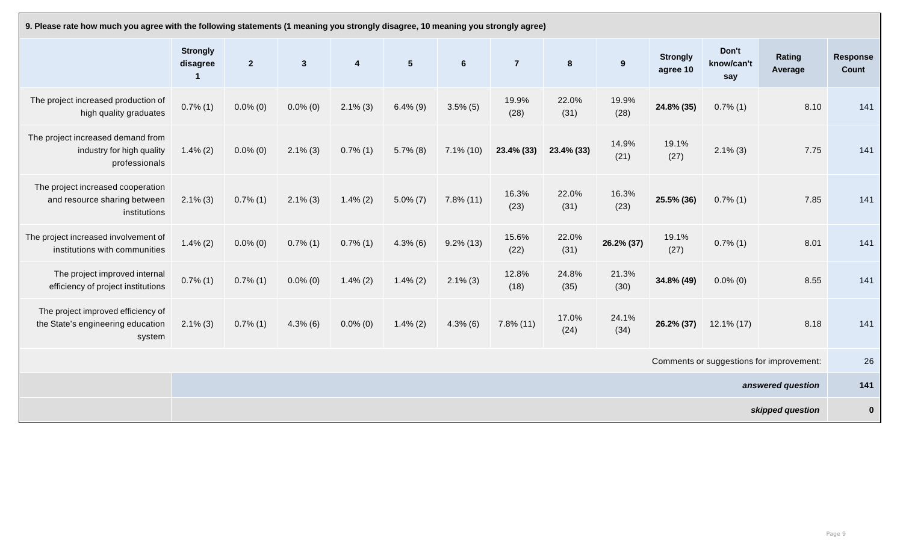| 9. Please rate how much you agree with the following statements (1 meaning you strongly disagree, 10 meaning you strongly agree) |                             |                |                 |                         |                |                 |                |                |               |                             |                            |                                          |                          |
|----------------------------------------------------------------------------------------------------------------------------------|-----------------------------|----------------|-----------------|-------------------------|----------------|-----------------|----------------|----------------|---------------|-----------------------------|----------------------------|------------------------------------------|--------------------------|
|                                                                                                                                  | <b>Strongly</b><br>disagree | $\overline{2}$ | $3\overline{3}$ | $\overline{\mathbf{4}}$ | 5 <sup>5</sup> | $6\phantom{1}6$ | $\overline{7}$ | 8 <sup>°</sup> | 9             | <b>Strongly</b><br>agree 10 | Don't<br>know/can't<br>say | Rating<br>Average                        | <b>Response</b><br>Count |
| The project increased production of<br>high quality graduates                                                                    | $0.7\%$ $(1)$               | $0.0\%$ (0)    | $0.0\%$ (0)     | $2.1\%$ (3)             | $6.4\%$ (9)    | $3.5\%$ (5)     | 19.9%<br>(28)  | 22.0%<br>(31)  | 19.9%<br>(28) | 24.8% (35)                  | $0.7\%$ (1)                | 8.10                                     | 141                      |
| The project increased demand from<br>industry for high quality<br>professionals                                                  | $1.4\%$ (2)                 | $0.0\%$ (0)    | $2.1\%$ (3)     | $0.7\%$ (1)             | $5.7\%$ (8)    | $7.1\%$ (10)    | 23.4% (33)     | $23.4\%$ (33)  | 14.9%<br>(21) | 19.1%<br>(27)               | $2.1\%$ (3)                | 7.75                                     | 141                      |
| The project increased cooperation<br>and resource sharing between<br>institutions                                                | $2.1\%$ (3)                 | $0.7\%$ (1)    | $2.1\%$ (3)     | $1.4\% (2)$             | $5.0\% (7)$    | $7.8\%$ (11)    | 16.3%<br>(23)  | 22.0%<br>(31)  | 16.3%<br>(23) | 25.5% (36)                  | $0.7\%$ (1)                | 7.85                                     | 141                      |
| The project increased involvement of<br>institutions with communities                                                            | $1.4\% (2)$                 | $0.0\%$ (0)    | $0.7\%$ (1)     | $0.7\%$ (1)             | $4.3\%$ (6)    | $9.2\%$ (13)    | 15.6%<br>(22)  | 22.0%<br>(31)  | 26.2% (37)    | 19.1%<br>(27)               | $0.7\%$ (1)                | 8.01                                     | 141                      |
| The project improved internal<br>efficiency of project institutions                                                              | $0.7\%$ (1)                 | $0.7\%$ (1)    | $0.0\%$ (0)     | $1.4\% (2)$             | $1.4\% (2)$    | $2.1\%$ (3)     | 12.8%<br>(18)  | 24.8%<br>(35)  | 21.3%<br>(30) | 34.8% (49)                  | $0.0\%$ (0)                | 8.55                                     | 141                      |
| The project improved efficiency of<br>the State's engineering education<br>system                                                | $2.1\%$ (3)                 | $0.7\%$ (1)    | $4.3\%$ (6)     | $0.0\%$ (0)             | $1.4\%$ (2)    | $4.3\%$ (6)     | $7.8\%$ (11)   | 17.0%<br>(24)  | 24.1%<br>(34) | 26.2% (37)                  | $12.1\%$ (17)              | 8.18                                     | 141                      |
|                                                                                                                                  |                             |                |                 |                         |                |                 |                |                |               |                             |                            | Comments or suggestions for improvement: | 26                       |
|                                                                                                                                  |                             |                |                 |                         |                |                 |                |                |               |                             |                            | answered question                        | 141                      |
|                                                                                                                                  |                             |                |                 |                         |                |                 |                |                |               |                             |                            | skipped question                         | $\mathbf 0$              |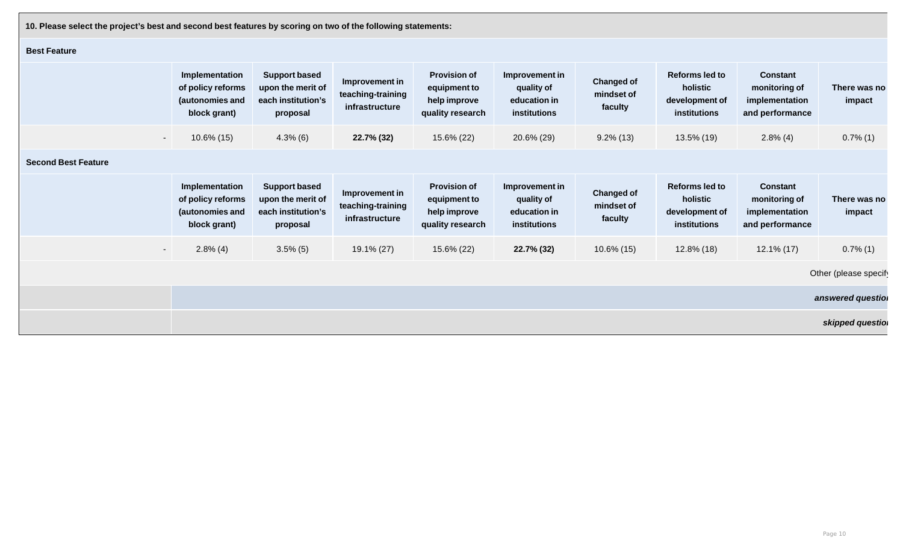**10. Please select the project's best and second best features by scoring on two of the following statements:** 

## **Best Feature**

|                            | Implementation<br>of policy reforms<br>(autonomies and<br>block grant) | <b>Support based</b><br>upon the merit of<br>each institution's<br>proposal | Improvement in<br>teaching-training<br>infrastructure | <b>Provision of</b><br>equipment to<br>help improve<br>quality research | Improvement in<br>quality of<br>education in<br>institutions | <b>Changed of</b><br>mindset of<br>faculty | Reforms led to<br>holistic<br>development of<br>institutions        | <b>Constant</b><br>monitoring of<br>implementation<br>and performance | <b>There was</b><br>impact |
|----------------------------|------------------------------------------------------------------------|-----------------------------------------------------------------------------|-------------------------------------------------------|-------------------------------------------------------------------------|--------------------------------------------------------------|--------------------------------------------|---------------------------------------------------------------------|-----------------------------------------------------------------------|----------------------------|
| $\sim$ $-$                 | $10.6\%$ (15)                                                          | $4.3\%$ (6)                                                                 | 22.7% (32)                                            | 15.6% (22)                                                              | 20.6% (29)                                                   | $9.2\%$ (13)                               | 13.5% (19)                                                          | $2.8\%$ (4)                                                           | $0.7\%$ (1)                |
| <b>Second Best Feature</b> |                                                                        |                                                                             |                                                       |                                                                         |                                                              |                                            |                                                                     |                                                                       |                            |
|                            | Implementation<br>of policy reforms<br>(autonomies and<br>block grant) | <b>Support based</b><br>upon the merit of<br>each institution's<br>proposal | Improvement in<br>teaching-training<br>infrastructure | <b>Provision of</b><br>equipment to<br>help improve<br>quality research | Improvement in<br>quality of<br>education in<br>institutions | <b>Changed of</b><br>mindset of<br>faculty | <b>Reforms led to</b><br>holistic<br>development of<br>institutions | <b>Constant</b><br>monitoring of<br>implementation<br>and performance | There was<br>impact        |
| $\sim$ $-$                 | $2.8\%$ (4)                                                            | $3.5\%$ (5)                                                                 | 19.1% (27)                                            | 15.6% (22)                                                              | 22.7% (32)                                                   | $10.6\%$ (15)                              | $12.8\%$ (18)                                                       | $12.1\%$ (17)                                                         | $0.7\%$ (1)                |
|                            |                                                                        |                                                                             |                                                       |                                                                         |                                                              |                                            |                                                                     |                                                                       | Other (please sp           |
|                            |                                                                        |                                                                             |                                                       |                                                                         |                                                              |                                            |                                                                     |                                                                       | answered ques              |
|                            |                                                                        |                                                                             |                                                       |                                                                         |                                                              |                                            |                                                                     |                                                                       | okinnad augu               |

| <b>Reforms led to</b><br>holistic<br>development of<br>institutions | <b>Constant</b><br>monitoring of<br>implementation<br>and performance | There was no<br>impact |
|---------------------------------------------------------------------|-----------------------------------------------------------------------|------------------------|
| 13.5% (19)                                                          | $2.8\%$ (4)                                                           | $0.7\%$ (1)            |
|                                                                     |                                                                       |                        |
| <b>Reforms led to</b><br>holistic<br>development of<br>institutions | <b>Constant</b><br>monitoring of<br>implementation                    | There was no<br>impact |
|                                                                     | and performance                                                       |                        |
| 12.8% (18)                                                          | 12.1% (17)                                                            | $0.7\%$ (1)            |
|                                                                     |                                                                       | Other (please specif   |
|                                                                     |                                                                       | answered questio       |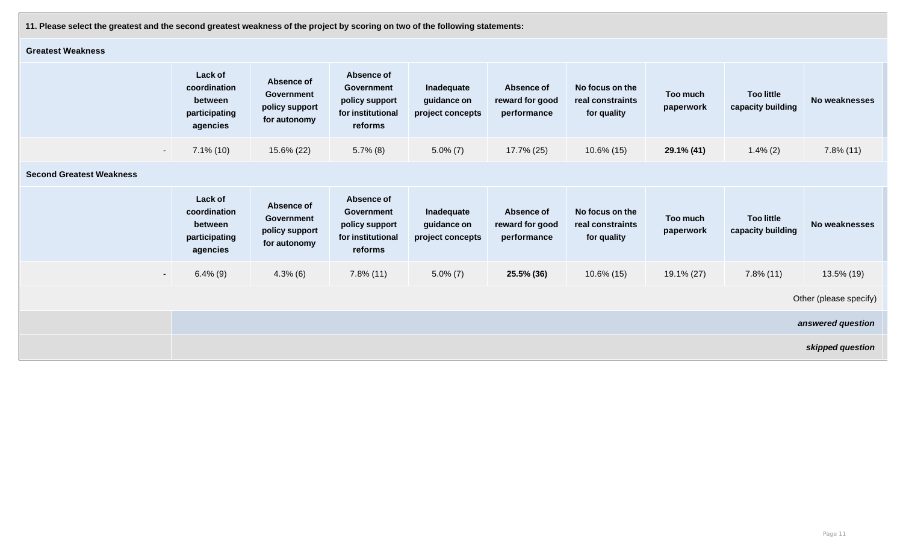**11. Please select the greatest and the second greatest weakness of the project by scoring on two of the following statements:** 

## **Greatest Weakness**

| <b>Greatest Weakness</b>        |                                                                 |                                                                   |                                                                                   |                                               |                                                     |                                                    |                       |                                        |                        |
|---------------------------------|-----------------------------------------------------------------|-------------------------------------------------------------------|-----------------------------------------------------------------------------------|-----------------------------------------------|-----------------------------------------------------|----------------------------------------------------|-----------------------|----------------------------------------|------------------------|
|                                 | Lack of<br>coordination<br>between<br>participating<br>agencies | Absence of<br><b>Government</b><br>policy support<br>for autonomy | Absence of<br><b>Government</b><br>policy support<br>for institutional<br>reforms | Inadequate<br>guidance on<br>project concepts | <b>Absence of</b><br>reward for good<br>performance | No focus on the<br>real constraints<br>for quality | Too much<br>paperwork | <b>Too little</b><br>capacity building | <b>No weaknesses</b>   |
| $\sim$                          | $7.1\%$ (10)                                                    | 15.6% (22)                                                        | $5.7\%$ (8)                                                                       | $5.0\% (7)$                                   | 17.7% (25)                                          | $10.6\%$ (15)                                      | 29.1% (41)            | $1.4\%$ (2)                            | $7.8\%$ (11)           |
| <b>Second Greatest Weakness</b> |                                                                 |                                                                   |                                                                                   |                                               |                                                     |                                                    |                       |                                        |                        |
|                                 | Lack of<br>coordination<br>between<br>participating<br>agencies | Absence of<br>Government<br>policy support<br>for autonomy        | Absence of<br><b>Government</b><br>policy support<br>for institutional<br>reforms | Inadequate<br>guidance on<br>project concepts | <b>Absence of</b><br>reward for good<br>performance | No focus on the<br>real constraints<br>for quality | Too much<br>paperwork | <b>Too little</b><br>capacity building | <b>No weaknesses</b>   |
| $\sim$                          | $6.4\%$ (9)                                                     | $4.3\%$ (6)                                                       | $7.8\%$ (11)                                                                      | $5.0\% (7)$                                   | 25.5% (36)                                          | $10.6\%$ (15)                                      | $19.1\% (27)$         | $7.8\%$ (11)                           | 13.5% (19)             |
|                                 |                                                                 |                                                                   |                                                                                   |                                               |                                                     |                                                    |                       |                                        | Other (please specify) |
|                                 |                                                                 |                                                                   |                                                                                   |                                               |                                                     |                                                    |                       |                                        | answered question      |
|                                 |                                                                 |                                                                   |                                                                                   |                                               |                                                     |                                                    |                       |                                        | skipped question       |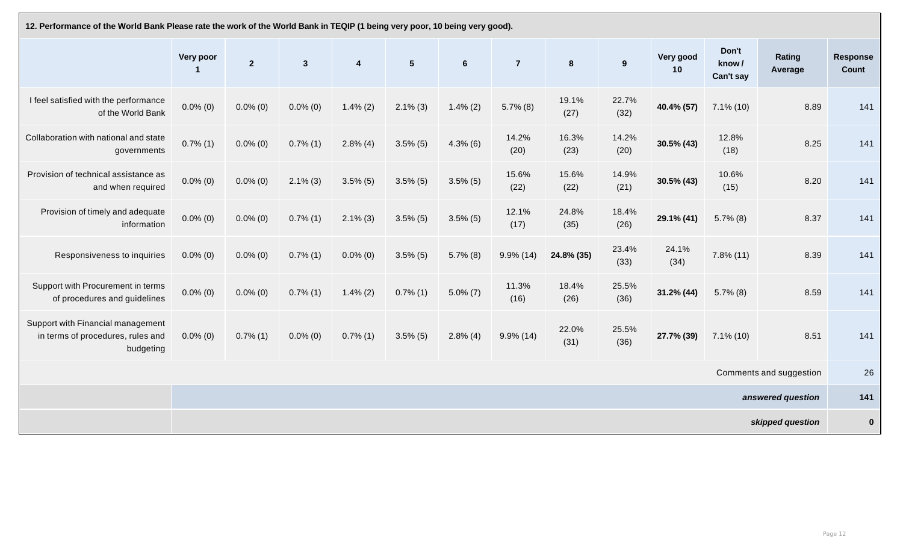| 12. Performance of the World Bank Please rate the work of the World Bank in TEQIP (1 being very poor, 10 being very good). |                       |              |              |                              |                |                |                |                  |               |  |
|----------------------------------------------------------------------------------------------------------------------------|-----------------------|--------------|--------------|------------------------------|----------------|----------------|----------------|------------------|---------------|--|
|                                                                                                                            | <b>Very poor</b><br>1 | $\mathbf{2}$ | $\mathbf{3}$ | $\overline{\mathbf{4}}$      | $5\phantom{1}$ | $6\phantom{1}$ | $\overline{7}$ | $\boldsymbol{8}$ | 9             |  |
| I feel satisfied with the performance<br>of the World Bank                                                                 | $0.0\%$ (0)           | $0.0\%$ (0)  | $0.0\%$ (0)  | $1.4\%$ (2)                  | $2.1\%$ (3)    | $1.4\% (2)$    | $5.7\%$ (8)    | 19.1%<br>(27)    | 22.7%<br>(32) |  |
| Collaboration with national and state<br>governments                                                                       | $0.7\%$ (1)           | $0.0\%$ (0)  | $0.7\%$ (1)  | $2.8\%$ (4)                  | $3.5\%$ (5)    | $4.3\%$ (6)    | 14.2%<br>(20)  | 16.3%<br>(23)    | 14.2%<br>(20) |  |
| Provision of technical assistance as<br>and when required                                                                  | $0.0\%$ (0)           | $0.0\%$ (0)  | $2.1\%$ (3)  | $3.5\%$ (5)                  | $3.5\%$ (5)    | $3.5\%$ (5)    | 15.6%<br>(22)  | 15.6%<br>(22)    | 14.9%<br>(21) |  |
| Provision of timely and adequate<br>information                                                                            | $0.0\%$ (0)           | $0.0\%$ (0)  | $0.7\%$ (1)  | $2.1\%$ (3)                  | $3.5\%$ (5)    | $3.5\%$ (5)    | 12.1%<br>(17)  | 24.8%<br>(35)    | 18.4%<br>(26) |  |
| Responsiveness to inquiries                                                                                                | $0.0\%$ (0)           | $0.0\%$ (0)  | $0.7\%$ (1)  | $0.0\%$ (0)                  | $3.5\%$ (5)    | $5.7\%$ (8)    | $9.9\%$ (14)   | 24.8% (35)       | 23.4%<br>(33) |  |
| Support with Procurement in terms<br>of procedures and guidelines                                                          | $0.0\%$ (0)           | $0.0\%$ (0)  | $0.7\%$ (1)  | $1.4\% (2)$                  | $0.7\%$ (1)    | $5.0\% (7)$    | 11.3%<br>(16)  | 18.4%<br>(26)    | 25.5%<br>(36) |  |
| Support with Financial management<br>in terms of procedures, rules and<br>budgeting                                        | $0.0\%$ (0)           | $0.7\%$ (1)  | $0.0\%$ (0)  | $0.7\%$ (1)<br>$\sim$ $\sim$ | $3.5\%$ (5)    | $2.8\%$ (4)    | $9.9\%$ (14)   | 22.0%<br>(31)    | 25.5%<br>(36) |  |
|                                                                                                                            |                       |              |              |                              |                |                |                |                  |               |  |
|                                                                                                                            |                       |              |              |                              |                |                |                |                  |               |  |
|                                                                                                                            |                       |              |              |                              |                |                |                |                  |               |  |

| Very good<br>10 | Don't<br>know/<br>Can't say | Rating<br>Average       | <b>Response</b><br><b>Count</b> |
|-----------------|-----------------------------|-------------------------|---------------------------------|
| 40.4% (57)      | $7.1\%$ (10)                | 8.89                    | 141                             |
| $30.5\%$ (43)   | 12.8%<br>(18)               | 8.25                    | 141                             |
| 30.5% (43)      | 10.6%<br>(15)               | 8.20                    | 141                             |
| 29.1% (41)      | $5.7\%$ (8)                 | 8.37                    | 141                             |
| 24.1%<br>(34)   | $7.8\%$ (11)                | 8.39                    | 141                             |
| 31.2% (44)      | $5.7\%$ (8)                 | 8.59                    | 141                             |
| 27.7% (39)      | $7.1\%$ (10)                | 8.51                    | 141                             |
|                 |                             | Comments and suggestion | 26                              |
|                 |                             | answered question       | 141                             |
|                 |                             | skipped question        | O                               |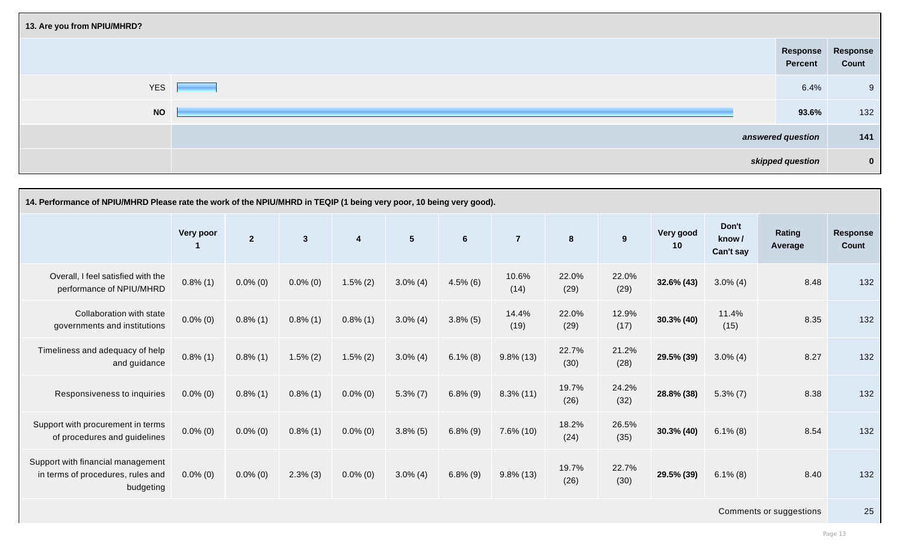| 13. Are you from NPIU/MHRD? |                                     |                  |
|-----------------------------|-------------------------------------|------------------|
|                             | Response Response<br><b>Percent</b> | <b>Count</b>     |
| <b>YES</b>                  | 6.4%                                | 9                |
| <b>NO</b>                   | 93.6%                               | 132              |
|                             | answered question                   | 141              |
|                             | skipped question                    | $\boldsymbol{0}$ |

| <b>Response</b><br><b>Percent</b> | <b>Response</b><br><b>Count</b> |
|-----------------------------------|---------------------------------|
| 6.4%                              | 9                               |
| 93.6%                             | 132                             |
| answered question                 | 141                             |
| skipped question                  | 0                               |

| 14. Performance of NPIU/MHRD Please rate the work of the NPIU/MHRD in TEQIP (1 being very poor, 10 being very good). |                  |                |                |                  |                |                |                |                |               |                 |                             |                         |                          |
|----------------------------------------------------------------------------------------------------------------------|------------------|----------------|----------------|------------------|----------------|----------------|----------------|----------------|---------------|-----------------|-----------------------------|-------------------------|--------------------------|
|                                                                                                                      | <b>Very poor</b> | $\overline{2}$ | $3\phantom{a}$ | $\boldsymbol{4}$ | 5 <sup>5</sup> | $6\phantom{1}$ | $\overline{7}$ | 8 <sup>°</sup> | 9             | Very good<br>10 | Don't<br>know/<br>Can't say | Rating<br>Average       | <b>Response</b><br>Count |
| Overall, I feel satisfied with the<br>performance of NPIU/MHRD                                                       | $0.8\%$ (1)      | $0.0\%$ (0)    | $0.0\%$ (0)    | $1.5\%$ (2)      | $3.0\%$ (4)    | $4.5\%$ (6)    | 10.6%<br>(14)  | 22.0%<br>(29)  | 22.0%<br>(29) | $32.6\% (43)$   | $3.0\%$ (4)                 | 8.48                    | 132                      |
| Collaboration with state<br>governments and institutions                                                             | $0.0\%$ (0)      | $0.8\%$ (1)    | $0.8\%$ (1)    | $0.8\%$ (1)      | $3.0\%$ (4)    | $3.8\%$ (5)    | 14.4%<br>(19)  | 22.0%<br>(29)  | 12.9%<br>(17) | $30.3\%$ (40)   | 11.4%<br>(15)               | 8.35                    | 132                      |
| Timeliness and adequacy of help<br>and guidance                                                                      | $0.8\%$ (1)      | $0.8\%$ (1)    | $1.5\% (2)$    | $1.5\%$ (2)      | $3.0\%$ (4)    | $6.1\%$ (8)    | $9.8\%$ (13)   | 22.7%<br>(30)  | 21.2%<br>(28) | 29.5% (39)      | $3.0\%$ (4)                 | 8.27                    | 132                      |
| Responsiveness to inquiries                                                                                          | $0.0\%$ (0)      | $0.8\%$ (1)    | $0.8\%$ (1)    | $0.0\%$ (0)      | $5.3\% (7)$    | $6.8\%$ (9)    | $8.3\%$ (11)   | 19.7%<br>(26)  | 24.2%<br>(32) | 28.8% (38)      | $5.3\%$ (7)                 | 8.38                    | 132                      |
| Support with procurement in terms<br>of procedures and guidelines                                                    | $0.0\%$ (0)      | $0.0\%$ (0)    | $0.8\%$ (1)    | $0.0\%$ (0)      | $3.8\%$ (5)    | $6.8\%$ (9)    | $7.6\%$ (10)   | 18.2%<br>(24)  | 26.5%<br>(35) | $30.3\%$ (40)   | $6.1\%$ (8)                 | 8.54                    | 132                      |
| Support with financial management<br>in terms of procedures, rules and<br>budgeting                                  | $0.0\%$ (0)      | $0.0\%$ (0)    | $2.3\%$ (3)    | $0.0\%$ (0)      | $3.0\%$ (4)    | $6.8\%$ (9)    | $9.8\%$ (13)   | 19.7%<br>(26)  | 22.7%<br>(30) | 29.5% (39)      | $6.1\%$ (8)                 | 8.40                    | 132                      |
|                                                                                                                      |                  |                |                |                  |                |                |                |                |               |                 |                             | Comments or suggestions | 25                       |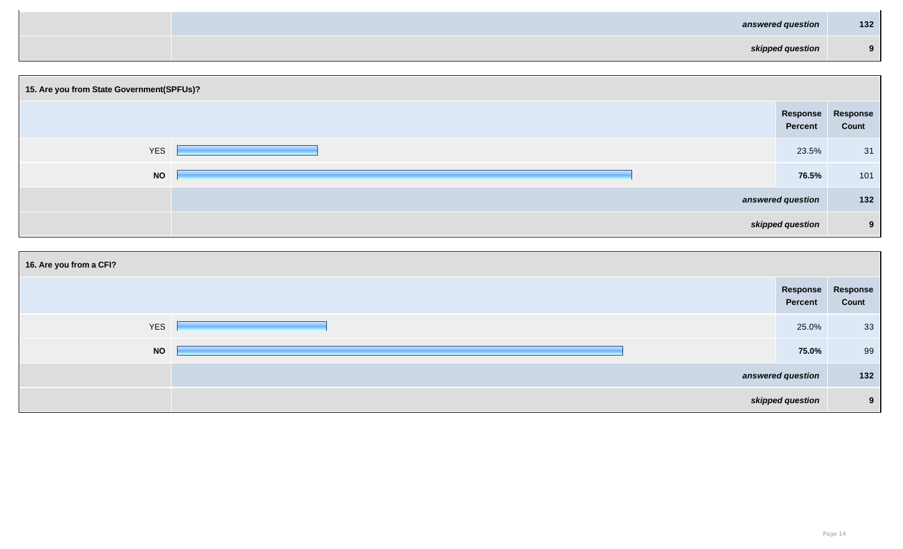| answered question | $132$    |
|-------------------|----------|
| skipped question  | $\Omega$ |

| 15. Are you from State Government(SPFUs)? |                                     |       |
|-------------------------------------------|-------------------------------------|-------|
|                                           | Response Response<br><b>Percent</b> | Count |
| <b>YES</b>                                | 23.5%                               | 31    |
| <b>NO</b>                                 | 76.5%                               | 101   |
|                                           | answered question                   | 132   |
|                                           | skipped question                    | 9     |

| <b>Response</b><br><b>Percent</b> | <b>Response</b><br><b>Count</b> |  |  |  |  |
|-----------------------------------|---------------------------------|--|--|--|--|
| 23.5%                             | 31                              |  |  |  |  |
| 76.5%                             | 101                             |  |  |  |  |
| answered question                 |                                 |  |  |  |  |
| skipped question                  |                                 |  |  |  |  |

| 16. Are you from a CFI? |                                     |              |
|-------------------------|-------------------------------------|--------------|
|                         | Response Response<br><b>Percent</b> | <b>Count</b> |
| <b>YES</b>              | 25.0%                               | 33           |
| <b>NO</b>               | 75.0%                               | 99           |
|                         | answered question                   | 132          |
|                         | skipped question                    | 9            |

| <b>Response</b><br><b>Percent</b> | <b>Response</b><br><b>Count</b> |  |  |  |  |
|-----------------------------------|---------------------------------|--|--|--|--|
| 25.0%                             | 33                              |  |  |  |  |
| 75.0%                             | 99                              |  |  |  |  |
| answered question                 |                                 |  |  |  |  |
| skipped question                  |                                 |  |  |  |  |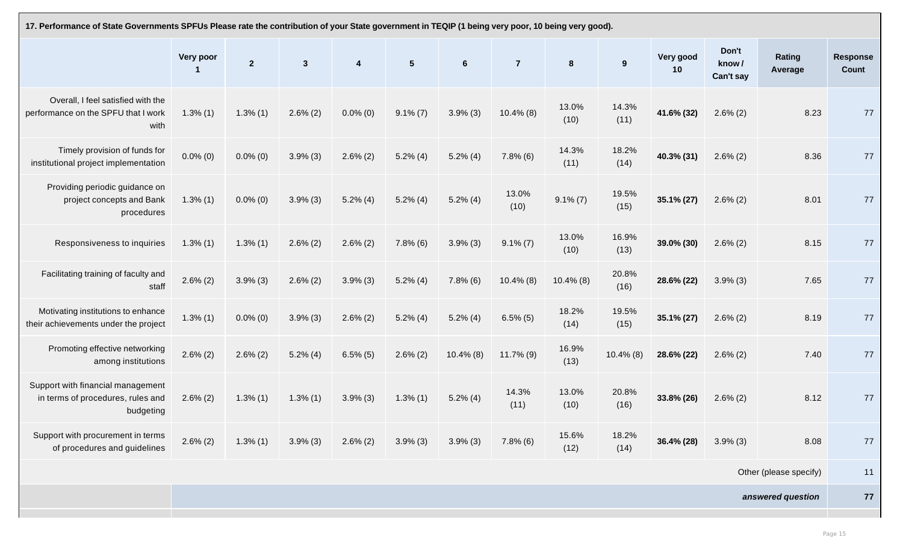| 17. Performance of State Governments SPFUs Please rate the contribution of your State government in TEQIP (1 being very poor, 10 being very good). |                  |                |              |             |                |                 |                |               |               |  |
|----------------------------------------------------------------------------------------------------------------------------------------------------|------------------|----------------|--------------|-------------|----------------|-----------------|----------------|---------------|---------------|--|
|                                                                                                                                                    | <b>Very poor</b> | $\overline{2}$ | $\mathbf{3}$ | 4           | $5\phantom{1}$ | $6\phantom{1}6$ | $\overline{7}$ | 8             | 9             |  |
| Overall, I feel satisfied with the<br>performance on the SPFU that I work<br>with                                                                  | $1.3\%$ (1)      | $1.3\%$ (1)    | $2.6\%$ (2)  | $0.0\%$ (0) | $9.1\%$ (7)    | $3.9\%$ (3)     | $10.4\%$ (8)   | 13.0%<br>(10) | 14.3%<br>(11) |  |
| Timely provision of funds for<br>institutional project implementation                                                                              | $0.0\%$ (0)      | $0.0\%$ (0)    | $3.9\%$ (3)  | $2.6\%$ (2) | $5.2\%$ (4)    | $5.2\%$ (4)     | $7.8\%$ (6)    | 14.3%<br>(11) | 18.2%<br>(14) |  |
| Providing periodic guidance on<br>project concepts and Bank<br>procedures                                                                          | $1.3\%$ (1)      | $0.0\%$ (0)    | $3.9\%$ (3)  | $5.2\%$ (4) | $5.2\%$ (4)    | $5.2\%$ (4)     | 13.0%<br>(10)  | $9.1\% (7)$   | 19.5%<br>(15) |  |
| Responsiveness to inquiries                                                                                                                        | $1.3\%$ (1)      | $1.3\%$ (1)    | $2.6\%$ (2)  | $2.6\%$ (2) | $7.8\%$ (6)    | $3.9\%$ (3)     | $9.1\%$ (7)    | 13.0%<br>(10) | 16.9%<br>(13) |  |
| Facilitating training of faculty and<br>staff                                                                                                      | $2.6\% (2)$      | $3.9\%$ (3)    | $2.6\%$ (2)  | $3.9\%$ (3) | $5.2\%$ (4)    | $7.8\%$ (6)     | $10.4\%$ (8)   | $10.4\%$ (8)  | 20.8%<br>(16) |  |
| Motivating institutions to enhance<br>their achievements under the project                                                                         | $1.3\%$ (1)      | $0.0\%$ (0)    | $3.9\%$ (3)  | $2.6\%$ (2) | $5.2\%$ (4)    | $5.2\%$ (4)     | $6.5\%$ (5)    | 18.2%<br>(14) | 19.5%<br>(15) |  |
| Promoting effective networking<br>among institutions                                                                                               | $2.6\%$ (2)      | $2.6\%$ (2)    | $5.2\%$ (4)  | $6.5\%$ (5) | $2.6\%$ (2)    | $10.4\%$ (8)    | $11.7\%$ (9)   | 16.9%<br>(13) | $10.4\%$ (8)  |  |
| Support with financial management<br>in terms of procedures, rules and<br>budgeting                                                                | $2.6\%$ (2)      | $1.3\%$ (1)    | $1.3\%$ (1)  | $3.9\%$ (3) | $1.3\%$ (1)    | $5.2\%$ (4)     | 14.3%<br>(11)  | 13.0%<br>(10) | 20.8%<br>(16) |  |
| Support with procurement in terms<br>of procedures and guidelines                                                                                  | $2.6\%$ (2)      | $1.3\%$ $(1)$  | $3.9\%$ (3)  | $2.6\% (2)$ | $3.9\%$ (3)    | $3.9\%$ (3)     | $7.8\%$ (6)    | 15.6%<br>(12) | 18.2%<br>(14) |  |

| l).           |                 |                             |                                                      |    |
|---------------|-----------------|-----------------------------|------------------------------------------------------|----|
| 9             | Very good<br>10 | Don't<br>know/<br>Can't say | Rating<br><b>Response</b><br><b>Count</b><br>Average |    |
| 14.3%<br>(11) | 41.6% (32)      | $2.6\%$ (2)                 | 8.23                                                 | 77 |
| 18.2%<br>(14) | 40.3% (31)      | $2.6\%$ (2)                 | 8.36                                                 | 77 |
| 19.5%<br>(15) | 35.1% (27)      | $2.6\%$ (2)                 | 8.01                                                 | 77 |
| 16.9%<br>(13) | 39.0% (30)      | $2.6\%$ (2)                 | 8.15                                                 | 77 |
| 20.8%<br>(16) | 28.6% (22)      | $3.9\%$ (3)                 | 7.65                                                 | 77 |
| 19.5%<br>(15) | 35.1% (27)      | $2.6\%$ (2)                 | 8.19                                                 | 77 |
| $10.4\%$ (8)  | 28.6% (22)      | $2.6\% (2)$                 | 7.40                                                 | 77 |
| 20.8%<br>(16) | 33.8% (26)      | $2.6\% (2)$                 | 8.12                                                 | 77 |
| 18.2%<br>(14) | 36.4% (28)      | $3.9\%$ (3)                 | 8.08                                                 | 77 |
|               |                 |                             | Other (please specify)                               | 11 |
|               | 77              |                             |                                                      |    |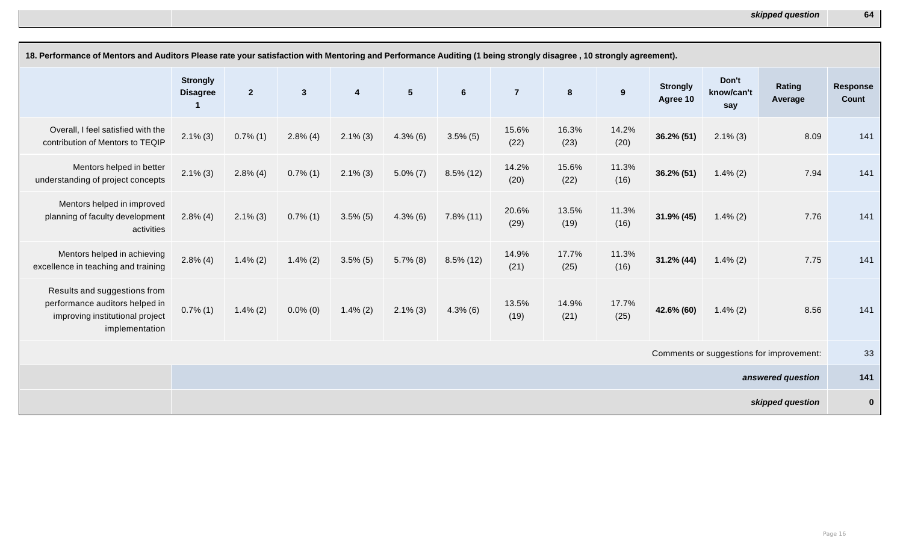| 18. Performance of Mentors and Auditors Please rate your satisfaction with Mentoring and Performance Auditing (1 being strongly disagree, 10 strongly agreement). |                                    |                |              |                         |                |                |                |                  |               |                             |                            |                          |                          |
|-------------------------------------------------------------------------------------------------------------------------------------------------------------------|------------------------------------|----------------|--------------|-------------------------|----------------|----------------|----------------|------------------|---------------|-----------------------------|----------------------------|--------------------------|--------------------------|
|                                                                                                                                                                   | <b>Strongly</b><br><b>Disagree</b> | 2 <sub>2</sub> | $\mathbf{3}$ | $\overline{\mathbf{4}}$ | 5 <sup>5</sup> | $6\phantom{1}$ | $\overline{7}$ | $\boldsymbol{8}$ | 9             | <b>Strongly</b><br>Agree 10 | Don't<br>know/can't<br>say | <b>Rating</b><br>Average | <b>Response</b><br>Count |
| Overall, I feel satisfied with the<br>contribution of Mentors to TEQIP                                                                                            | $2.1\%$ (3)                        | $0.7\%$ (1)    | $2.8\%$ (4)  | $2.1\%$ (3)             | $4.3\%$ (6)    | $3.5\%$ (5)    | 15.6%<br>(22)  | 16.3%<br>(23)    | 14.2%<br>(20) | $36.2\% (51)$               | $2.1\%$ (3)                | 8.09                     | 141                      |
| Mentors helped in better<br>understanding of project concepts                                                                                                     | $2.1\%$ (3)                        | $2.8\%$ (4)    | $0.7\%$ (1)  | $2.1\%$ (3)             | $5.0\%$ (7)    | $8.5\%$ (12)   | 14.2%<br>(20)  | 15.6%<br>(22)    | 11.3%<br>(16) | $36.2\% (51)$               | $1.4\% (2)$                | 7.94                     | 141                      |
| Mentors helped in improved<br>planning of faculty development<br>activities                                                                                       | $2.8\%$ (4)                        | $2.1\%$ (3)    | $0.7\%$ (1)  | $3.5\%$ (5)             | $4.3\%$ (6)    | $7.8\%$ (11)   | 20.6%<br>(29)  | 13.5%<br>(19)    | 11.3%<br>(16) | $31.9\%$ (45)               | $1.4\%$ (2)                | 7.76                     | 141                      |
| Mentors helped in achieving<br>excellence in teaching and training                                                                                                | $2.8\%$ (4)                        | $1.4\%$ (2)    | $1.4\%$ (2)  | $3.5\%$ (5)             | $5.7\%$ (8)    | $8.5\%$ (12)   | 14.9%<br>(21)  | 17.7%<br>(25)    | 11.3%<br>(16) | $31.2\%$ (44)               | $1.4\%$ (2)                | 7.75                     | 141                      |
| Results and suggestions from<br>performance auditors helped in<br>improving institutional project<br>implementation                                               | $0.7\%$ (1)                        | $1.4\%$ (2)    | $0.0\%$ (0)  | $1.4\%$ (2)             | $2.1\%$ (3)    | $4.3\%$ (6)    | 13.5%<br>(19)  | 14.9%<br>(21)    | 17.7%<br>(25) | 42.6% (60)                  | $1.4\%$ (2)                | 8.56                     | 141                      |
| Comments or suggestions for improvement:                                                                                                                          |                                    |                |              |                         |                |                |                |                  | 33            |                             |                            |                          |                          |
| answered question                                                                                                                                                 |                                    |                |              |                         |                |                |                | 141              |               |                             |                            |                          |                          |
|                                                                                                                                                                   |                                    |                |              |                         |                |                |                |                  |               |                             |                            | skipped question         | $\mathbf 0$              |